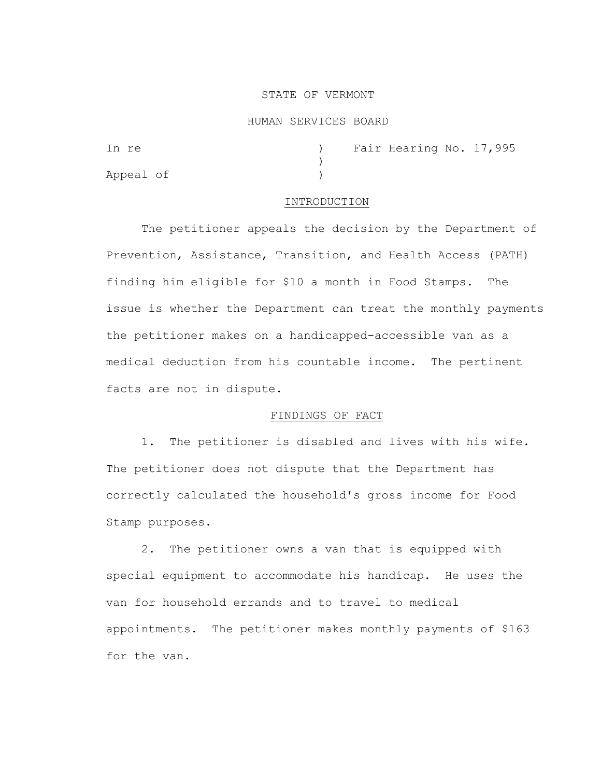# STATE OF VERMONT

### HUMAN SERVICES BOARD

| In re     |  | ) Fair Hearing No. 17,995 |  |
|-----------|--|---------------------------|--|
|           |  |                           |  |
| Appeal of |  |                           |  |

## INTRODUCTION

The petitioner appeals the decision by the Department of Prevention, Assistance, Transition, and Health Access (PATH) finding him eligible for \$10 a month in Food Stamps. The issue is whether the Department can treat the monthly payments the petitioner makes on a handicapped-accessible van as a medical deduction from his countable income. The pertinent facts are not in dispute.

# FINDINGS OF FACT

1. The petitioner is disabled and lives with his wife. The petitioner does not dispute that the Department has correctly calculated the household's gross income for Food Stamp purposes.

2. The petitioner owns a van that is equipped with special equipment to accommodate his handicap. He uses the van for household errands and to travel to medical appointments. The petitioner makes monthly payments of \$163 for the van.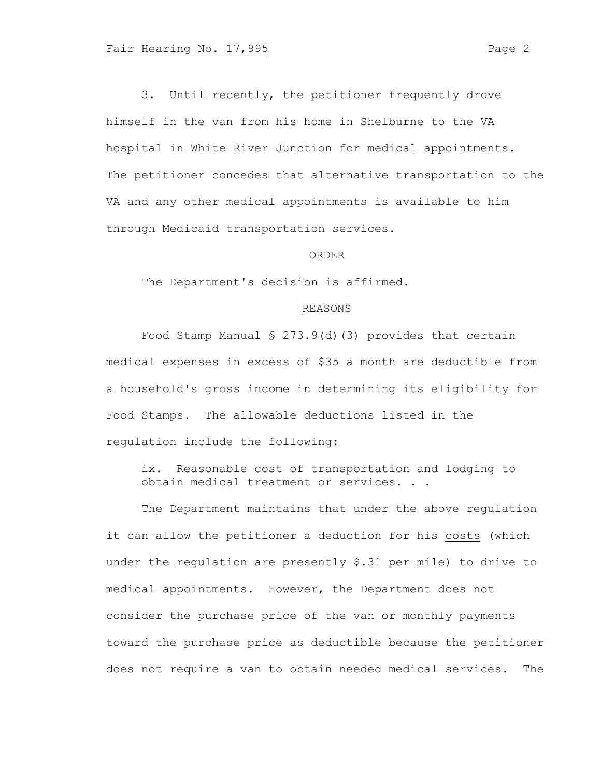3. Until recently, the petitioner frequently drove himself in the van from his home in Shelburne to the VA hospital in White River Junction for medical appointments. The petitioner concedes that alternative transportation to the VA and any other medical appointments is available to him through Medicaid transportation services.

### ORDER

The Department's decision is affirmed.

# REASONS

Food Stamp Manual § 273.9(d)(3) provides that certain medical expenses in excess of \$35 a month are deductible from a household's gross income in determining its eligibility for Food Stamps. The allowable deductions listed in the regulation include the following:

ix. Reasonable cost of transportation and lodging to obtain medical treatment or services. . .

The Department maintains that under the above regulation it can allow the petitioner a deduction for his costs (which under the regulation are presently \$.31 per mile) to drive to medical appointments. However, the Department does not consider the purchase price of the van or monthly payments toward the purchase price as deductible because the petitioner does not require a van to obtain needed medical services. The